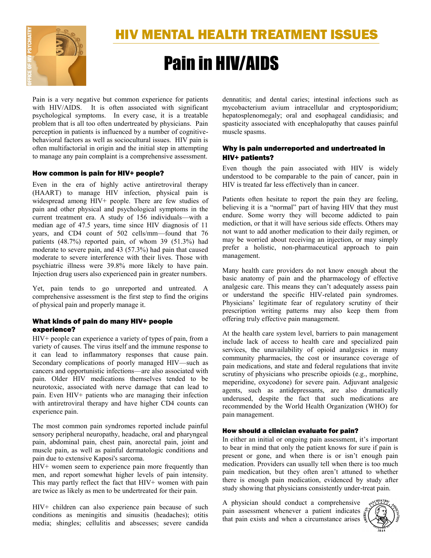

# Pain in HIV/AIDS

Pain is a very negative but common experience for patients with HIV/AIDS. It is often associated with significant psychological symptoms. In every case, it is a treatable problem that is all too often undertreated by physicians. Pain perception in patients is influenced by a number of cognitivebehavioral factors as well as sociocultural issues. HIV pain is often multifactorial in origin and the initial step in attempting to manage any pain complaint is a comprehensive assessment.

# How common is pain for HIV+ people?

Even in the era of highly active antiretroviral therapy (HAART) to manage HIV infection, physical pain is widespread among HIV+ people. There are few studies of pain and other physical and psychological symptoms in the current treatment era. A study of 156 individuals—with a median age of 47.5 years, time since HIV diagnosis of 11 years, and CD4 count of 502 cells/mm—found that 76 patients (48.7%) reported pain, of whom 39 (51.3%) had moderate to severe pain, and 43 (57.3%) had pain that caused moderate to severe interference with their lives. Those with psychiatric illness were 39.8% more likely to have pain. Injection drug users also experienced pain in greater numbers.

Yet, pain tends to go unreported and untreated. A comprehensive assessment is the first step to find the origins of physical pain and properly manage it.

# What kinds of pain do many HIV+ people experience?

HIV+ people can experience a variety of types of pain, from a variety of causes. The virus itself and the immune response to it can lead to inflammatory responses that cause pain. Secondary complications of poorly managed HIV—such as cancers and opportunistic infections—are also associated with pain. Older HIV medications themselves tended to be neurotoxic, associated with nerve damage that can lead to pain. Even HIV+ patients who are managing their infection with antiretroviral therapy and have higher CD4 counts can experience pain.

The most common pain syndromes reported include painful sensory peripheral neuropathy, headache, oral and pharyngeal pain, abdominal pain, chest pain, anorectal pain, joint and muscle pain, as well as painful dermatologic conditions and pain due to extensive Kaposi's sarcoma.

HIV+ women seem to experience pain more frequently than men, and report somewhat higher levels of pain intensity. This may partly reflect the fact that HIV+ women with pain are twice as likely as men to be undertreated for their pain.

HIV+ children can also experience pain because of such conditions as meningitis and sinusitis (headaches); otitis media; shingles; cellulitis and abscesses; severe candida dennatitis; and dental caries; intestinal infections such as mycobacterium avium intracellular and cryptosporidium; hepatosplenomegaly; oral and esophageal candidiasis; and spasticity associated with encephalopathy that causes painful muscle spasms.

# Why is pain underreported and undertreated in HIV+ patients?

Even though the pain associated with HIV is widely understood to be comparable to the pain of cancer, pain in HIV is treated far less effectively than in cancer.

Patients often hesitate to report the pain they are feeling, believing it is a "normal" part of having HIV that they must endure. Some worry they will become addicted to pain mediction, or that it will have serious side effects. Others may not want to add another medication to their daily regimen, or may be worried about receiving an injection, or may simply prefer a holistic, non-pharmaceutical approach to pain management.

Many health care providers do not know enough about the basic anatomy of pain and the pharmacology of effective analgesic care. This means they can't adequately assess pain or understand the specific HIV-related pain syndromes. Physicians' legitimate fear of regulatory scrutiny of their prescription writing patterns may also keep them from offering truly effective pain management.

At the health care system level, barriers to pain management include lack of access to health care and specialized pain services, the unavailability of opioid analgesics in many community pharmacies, the cost or insurance coverage of pain medications, and state and federal regulations that invite scrutiny of physicians who prescribe opioids (e.g., morphine, meperidine, oxycodone) for severe pain. Adjuvant analgesic agents, such as antidepressants, are also dramatically underused, despite the fact that such medications are recommended by the World Health Organization (WHO) for pain management.

# How should a clinician evaluate for pain?

In either an initial or ongoing pain assessment, it's important to bear in mind that only the patient knows for sure if pain is present or gone, and when there is or isn't enough pain medication. Providers can usually tell when there is too much pain medication, but they often aren't attuned to whether there is enough pain medication, evidenced by study after study showing that physicians consistently under-treat pain.

A physician should conduct a comprehensive pain assessment whenever a patient indicates  $\frac{3}{2}$ that pain exists and when a circumstance arises